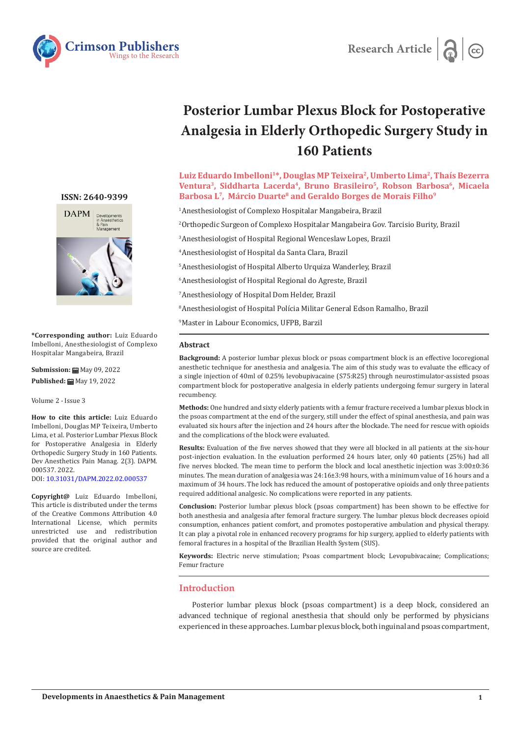



# **Posterior Lumbar Plexus Block for Postoperative Analgesia in Elderly Orthopedic Surgery Study in 160 Patients**

Luiz Eduardo Imbelloni<sup>1\*</sup>, Douglas MP Teixeira<sup>2</sup>, Umberto Lima<sup>2</sup>, Thaís Bezerra Ventura<sup>3</sup>, Siddharta Lacerda<sup>4</sup>, Bruno Brasileiro<sup>5</sup>, Robson Barbosa<sup>6</sup>, Micaela Barbosa L<sup>7</sup>, Márcio Duarte<sup>8</sup> and Geraldo Borges de Morais Filho<sup>9</sup>

1 Anesthesiologist of Complexo Hospitalar Mangabeira, Brazil

2 Orthopedic Surgeon of Complexo Hospitalar Mangabeira Gov. Tarcisio Burity, Brazil

3 Anesthesiologist of Hospital Regional Wenceslaw Lopes, Brazil

4 Anesthesiologist of Hospital da Santa Clara, Brazil

5 Anesthesiologist of Hospital Alberto Urquiza Wanderley, Brazil

6 Anesthesiologist of Hospital Regional do Agreste, Brazil

7 Anesthesiology of Hospital Dom Helder, Brazil

8 Anesthesiologist of Hospital Polícia Militar General Edson Ramalho, Brazil

9 Master in Labour Economics, UFPB, Barzil

### **Abstract**

**Background:** A posterior lumbar plexus block or psoas compartment block is an effective locoregional anesthetic technique for anesthesia and analgesia. The aim of this study was to evaluate the efficacy of a single injection of 40ml of 0.25% levobupivacaine (S75:R25) through neurostimulator-assisted psoas compartment block for postoperative analgesia in elderly patients undergoing femur surgery in lateral recumbency.

**Methods:** One hundred and sixty elderly patients with a femur fracture received a lumbar plexus block in the psoas compartment at the end of the surgery, still under the effect of spinal anesthesia, and pain was evaluated six hours after the injection and 24 hours after the blockade. The need for rescue with opioids and the complications of the block were evaluated.

**Results:** Evaluation of the five nerves showed that they were all blocked in all patients at the six-hour post-injection evaluation. In the evaluation performed 24 hours later, only 40 patients (25%) had all five nerves blocked. The mean time to perform the block and local anesthetic injection was 3:00±0:36 minutes. The mean duration of analgesia was 24:16±3:98 hours, with a minimum value of 16 hours and a maximum of 34 hours. The lock has reduced the amount of postoperative opioids and only three patients required additional analgesic. No complications were reported in any patients.

**Conclusion:** Posterior lumbar plexus block (psoas compartment) has been shown to be effective for both anesthesia and analgesia after femoral fracture surgery. The lumbar plexus block decreases opioid consumption, enhances patient comfort, and promotes postoperative ambulation and physical therapy. It can play a pivotal role in enhanced recovery programs for hip surgery, applied to elderly patients with femoral fractures in a hospital of the Brazilian Health System (SUS).

**Keywords:** Electric nerve stimulation; Psoas compartment block; Levopubivacaine; Complications; Femur fracture

# **Introduction**

Posterior lumbar plexus block (psoas compartment) is a deep block, considered an advanced technique of regional anesthesia that should only be performed by physicians experienced in these approaches. Lumbar plexus block, both inguinal and psoas compartment,

# **ISSN: 2640-9399**



**\*Corresponding author:** Luiz Eduardo Imbelloni, Anesthesiologist of Complexo Hospitalar Mangabeira, Brazil

**Submission: H** May 09, 2022 **Published:** May 19, 2022

Volume 2 - Issue 3

**How to cite this article:** Luiz Eduardo Imbelloni, Douglas MP Teixeira, Umberto Lima, et al. Posterior Lumbar Plexus Block for Postoperative Analgesia in Elderly Orthopedic Surgery Study in 160 Patients. Dev Anesthetics Pain Manag. 2(3). DAPM. 000537. 2022.

DOI: [10.31031/DAPM.2022.02.000537](http://dx.doi.org/10.31031/DAPM.2022.02.000537)

**Copyright@** Luiz Eduardo Imbelloni, This article is distributed under the terms of the Creative Commons Attribution 4.0 International License, which permits unrestricted use and redistribution provided that the original author and source are credited.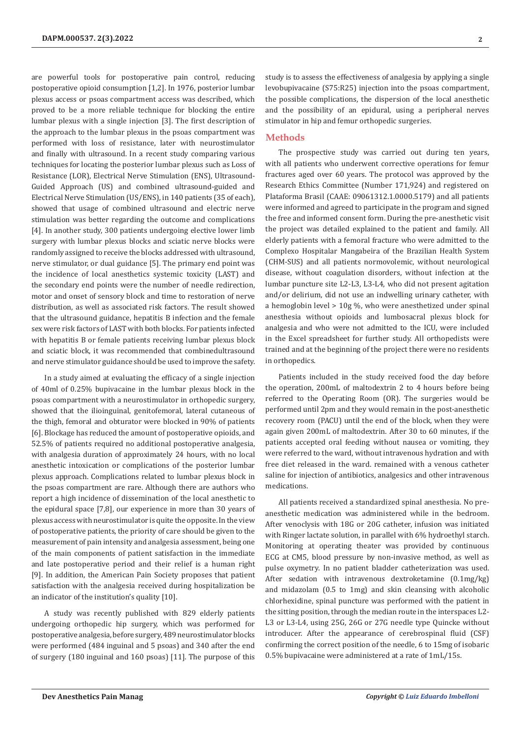are powerful tools for postoperative pain control, reducing postoperative opioid consumption [1,2]. In 1976, posterior lumbar plexus access or psoas compartment access was described, which proved to be a more reliable technique for blocking the entire lumbar plexus with a single injection [3]. The first description of the approach to the lumbar plexus in the psoas compartment was performed with loss of resistance, later with neurostimulator and finally with ultrasound. In a recent study comparing various techniques for locating the posterior lumbar plexus such as Loss of Resistance (LOR), Electrical Nerve Stimulation (ENS), Ultrasound-Guided Approach (US) and combined ultrasound-guided and Electrical Nerve Stimulation (US/ENS), in 140 patients (35 of each), showed that usage of combined ultrasound and electric nerve stimulation was better regarding the outcome and complications [4]. In another study, 300 patients undergoing elective lower limb surgery with lumbar plexus blocks and sciatic nerve blocks were randomly assigned to receive the blocks addressed with ultrasound, nerve stimulator, or dual guidance [5]. The primary end point was the incidence of local anesthetics systemic toxicity (LAST) and the secondary end points were the number of needle redirection, motor and onset of sensory block and time to restoration of nerve distribution, as well as associated risk factors. The result showed that the ultrasound guidance, hepatitis B infection and the female sex were risk factors of LAST with both blocks. For patients infected with hepatitis B or female patients receiving lumbar plexus block and sciatic block, it was recommended that combinedultrasound and nerve stimulator guidance should be used to improve the safety.

In a study aimed at evaluating the efficacy of a single injection of 40ml of 0.25% bupivacaine in the lumbar plexus block in the psoas compartment with a neurostimulator in orthopedic surgery, showed that the ilioinguinal, genitofemoral, lateral cutaneous of the thigh, femoral and obturator were blocked in 90% of patients [6]. Blockage has reduced the amount of postoperative opioids, and 52.5% of patients required no additional postoperative analgesia, with analgesia duration of approximately 24 hours, with no local anesthetic intoxication or complications of the posterior lumbar plexus approach. Complications related to lumbar plexus block in the psoas compartment are rare. Although there are authors who report a high incidence of dissemination of the local anesthetic to the epidural space [7,8], our experience in more than 30 years of plexus access with neurostimulator is quite the opposite. In the view of postoperative patients, the priority of care should be given to the measurement of pain intensity and analgesia assessment, being one of the main components of patient satisfaction in the immediate and late postoperative period and their relief is a human right [9]. In addition, the American Pain Society proposes that patient satisfaction with the analgesia received during hospitalization be an indicator of the institution's quality [10].

A study was recently published with 829 elderly patients undergoing orthopedic hip surgery, which was performed for postoperative analgesia, before surgery, 489 neurostimulator blocks were performed (484 inguinal and 5 psoas) and 340 after the end of surgery (180 inguinal and 160 psoas) [11]. The purpose of this study is to assess the effectiveness of analgesia by applying a single levobupivacaine (S75:R25) injection into the psoas compartment, the possible complications, the dispersion of the local anesthetic and the possibility of an epidural, using a peripheral nerves stimulator in hip and femur orthopedic surgeries.

## **Methods**

The prospective study was carried out during ten years, with all patients who underwent corrective operations for femur fractures aged over 60 years. The protocol was approved by the Research Ethics Committee (Number 171,924) and registered on Plataforma Brasil (CAAE: 09061312.1.0000.5179) and all patients were informed and agreed to participate in the program and signed the free and informed consent form. During the pre-anesthetic visit the project was detailed explained to the patient and family. All elderly patients with a femoral fracture who were admitted to the Complexo Hospitalar Mangabeira of the Brazilian Health System (CHM-SUS) and all patients normovolemic, without neurological disease, without coagulation disorders, without infection at the lumbar puncture site L2-L3, L3-L4, who did not present agitation and/or delirium, did not use an indwelling urinary catheter, with a hemoglobin level  $> 10g %$ , who were anesthetized under spinal anesthesia without opioids and lumbosacral plexus block for analgesia and who were not admitted to the ICU, were included in the Excel spreadsheet for further study. All orthopedists were trained and at the beginning of the project there were no residents in orthopedics.

Patients included in the study received food the day before the operation, 200mL of maltodextrin 2 to 4 hours before being referred to the Operating Room (OR). The surgeries would be performed until 2pm and they would remain in the post-anesthetic recovery room (PACU) until the end of the block, when they were again given 200mL of maltodextrin. After 30 to 60 minutes, if the patients accepted oral feeding without nausea or vomiting, they were referred to the ward, without intravenous hydration and with free diet released in the ward. remained with a venous catheter saline for injection of antibiotics, analgesics and other intravenous medications.

All patients received a standardized spinal anesthesia. No preanesthetic medication was administered while in the bedroom. After venoclysis with 18G or 20G catheter, infusion was initiated with Ringer lactate solution, in parallel with 6% hydroethyl starch. Monitoring at operating theater was provided by continuous ECG at CM5, blood pressure by non-invasive method, as well as pulse oxymetry. In no patient bladder catheterization was used. After sedation with intravenous dextroketamine (0.1mg/kg) and midazolam (0.5 to 1mg) and skin cleansing with alcoholic chlorhexidine, spinal puncture was performed with the patient in the sitting position, through the median route in the interspaces L2- L3 or L3-L4, using 25G, 26G or 27G needle type Quincke without introducer. After the appearance of cerebrospinal fluid (CSF) confirming the correct position of the needle, 6 to 15mg of isobaric 0.5% bupivacaine were administered at a rate of 1mL/15s.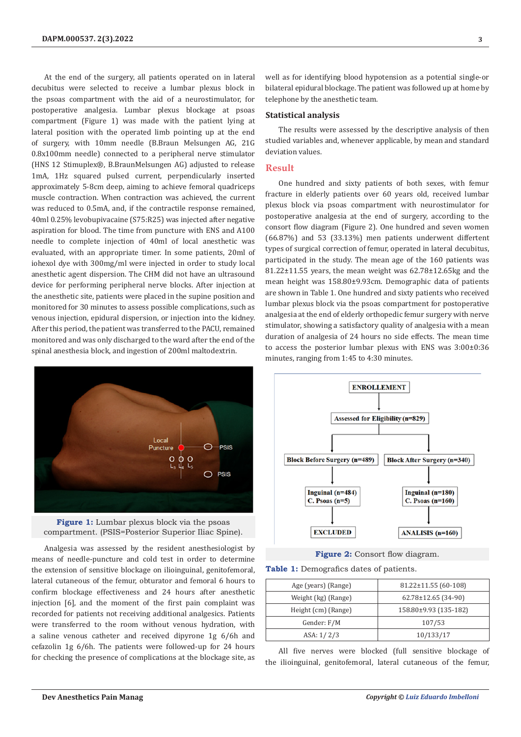At the end of the surgery, all patients operated on in lateral decubitus were selected to receive a lumbar plexus block in the psoas compartment with the aid of a neurostimulator, for postoperative analgesia. Lumbar plexus blockage at psoas compartment (Figure 1) was made with the patient lying at lateral position with the operated limb pointing up at the end of surgery, with 10mm needle (B.Braun Melsungen AG, 21G 0.8x100mm needle) connected to a peripheral nerve stimulator (HNS 12 Stimuplex®, B.BraunMelsungen AG) adjusted to release 1mA, 1Hz squared pulsed current, perpendicularly inserted approximately 5-8cm deep, aiming to achieve femoral quadriceps muscle contraction. When contraction was achieved, the current was reduced to 0.5mA, and, if the contractile response remained, 40ml 0.25% levobupivacaine (S75:R25) was injected after negative aspiration for blood. The time from puncture with ENS and A100 needle to complete injection of 40ml of local anesthetic was evaluated, with an appropriate timer. In some patients, 20ml of iohexol dye with 300mg/ml were injected in order to study local anesthetic agent dispersion. The CHM did not have an ultrasound device for performing peripheral nerve blocks. After injection at the anesthetic site, patients were placed in the supine position and monitored for 30 minutes to assess possible complications, such as venous injection, epidural dispersion, or injection into the kidney. After this period, the patient was transferred to the PACU, remained monitored and was only discharged to the ward after the end of the spinal anesthesia block, and ingestion of 200ml maltodextrin.



**Figure 1:** Lumbar plexus block via the psoas compartment. (PSIS=Posterior Superior Iliac Spine).

Analgesia was assessed by the resident anesthesiologist by means of needle-puncture and cold test in order to determine the extension of sensitive blockage on ilioinguinal, genitofemoral, lateral cutaneous of the femur, obturator and femoral 6 hours to confirm blockage effectiveness and 24 hours after anesthetic injection [6], and the moment of the first pain complaint was recorded for patients not receiving additional analgesics. Patients were transferred to the room without venous hydration, with a saline venous catheter and received dipyrone 1g 6/6h and cefazolin 1g 6/6h. The patients were followed-up for 24 hours for checking the presence of complications at the blockage site, as well as for identifying blood hypotension as a potential single-or bilateral epidural blockage. The patient was followed up at home by telephone by the anesthetic team.

#### **Statistical analysis**

The results were assessed by the descriptive analysis of then studied variables and, whenever applicable, by mean and standard deviation values.

# **Result**

One hundred and sixty patients of both sexes, with femur fracture in elderly patients over 60 years old, received lumbar plexus block via psoas compartment with neurostimulator for postoperative analgesia at the end of surgery, according to the consort flow diagram (Figure 2). One hundred and seven women (66.87%) and 53 (33.13%) men patients underwent differtent types of surgical correction of femur, operated in lateral decubitus, participated in the study. The mean age of the 160 patients was 81.22±11.55 years, the mean weight was 62.78±12.65kg and the mean height was 158.80±9.93cm. Demographic data of patients are shown in Table 1. One hundred and sixty patients who received lumbar plexus block via the psoas compartment for postoperative analgesia at the end of elderly orthopedic femur surgery with nerve stimulator, showing a satisfactory quality of analgesia with a mean duration of analgesia of 24 hours no side effects. The mean time to access the posterior lumbar plexus with ENS was 3:00±0:36 minutes, ranging from 1:45 to 4:30 minutes.



Figure 2: Consort flow diagram.

**Table 1:** Demografics dates of patients.

| Age (years) (Range) | $81.22 \pm 11.55(60-108)$ |
|---------------------|---------------------------|
| Weight (kg) (Range) | $62.78 \pm 12.65$ (34-90) |
| Height (cm) (Range) | 158.80±9.93 (135-182)     |
| Gender: F/M         | 107/53                    |
| ASA: 1/2/3          | 10/133/17                 |

All five nerves were blocked (full sensitive blockage of the ilioinguinal, genitofemoral, lateral cutaneous of the femur,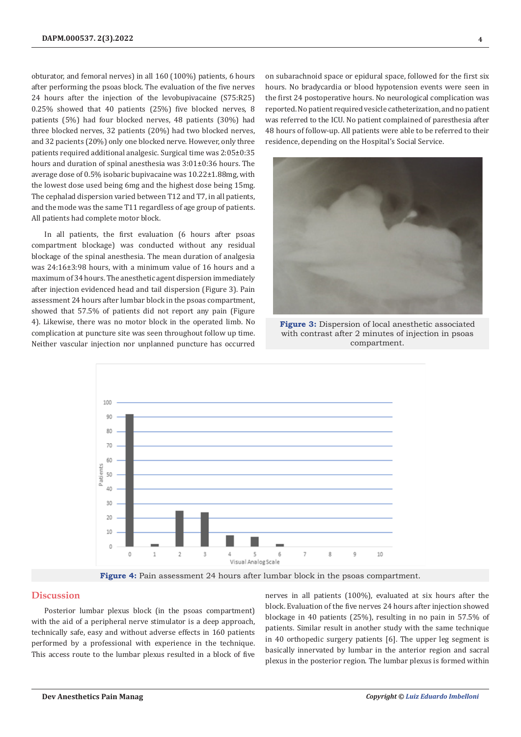obturator, and femoral nerves) in all 160 (100%) patients, 6 hours after performing the psoas block. The evaluation of the five nerves 24 hours after the injection of the levobupivacaine (S75:R25) 0.25% showed that 40 patients (25%) five blocked nerves, 8 patients (5%) had four blocked nerves, 48 patients (30%) had three blocked nerves, 32 patients (20%) had two blocked nerves, and 32 pacients (20%) only one blocked nerve. However, only three patients required additional analgesic. Surgical time was 2:05±0:35 hours and duration of spinal anesthesia was 3:01±0:36 hours. The average dose of 0.5% isobaric bupivacaine was 10.22±1.88mg, with the lowest dose used being 6mg and the highest dose being 15mg. The cephalad dispersion varied between T12 and T7, in all patients, and the mode was the same T11 regardless of age group of patients. All patients had complete motor block.

In all patients, the first evaluation (6 hours after psoas compartment blockage) was conducted without any residual blockage of the spinal anesthesia. The mean duration of analgesia was 24:16±3:98 hours, with a minimum value of 16 hours and a maximum of 34 hours. The anesthetic agent dispersion immediately after injection evidenced head and tail dispersion (Figure 3). Pain assessment 24 hours after lumbar block in the psoas compartment, showed that 57.5% of patients did not report any pain (Figure 4). Likewise, there was no motor block in the operated limb. No complication at puncture site was seen throughout follow up time. Neither vascular injection nor unplanned puncture has occurred on subarachnoid space or epidural space, followed for the first six hours. No bradycardia or blood hypotension events were seen in the first 24 postoperative hours. No neurological complication was reported. No patient required vesicle catheterization, and no patient was referred to the ICU. No patient complained of paresthesia after 48 hours of follow-up. All patients were able to be referred to their residence, depending on the Hospital's Social Service.



**Figure 3:** Dispersion of local anesthetic associated with contrast after 2 minutes of injection in psoas compartment.



**Figure 4:** Pain assessment 24 hours after lumbar block in the psoas compartment.

## **Discussion**

Posterior lumbar plexus block (in the psoas compartment) with the aid of a peripheral nerve stimulator is a deep approach, technically safe, easy and without adverse effects in 160 patients performed by a professional with experience in the technique. This access route to the lumbar plexus resulted in a block of five nerves in all patients (100%), evaluated at six hours after the block. Evaluation of the five nerves 24 hours after injection showed blockage in 40 patients (25%), resulting in no pain in 57.5% of patients. Similar result in another study with the same technique in 40 orthopedic surgery patients [6]. The upper leg segment is basically innervated by lumbar in the anterior region and sacral plexus in the posterior region. The lumbar plexus is formed within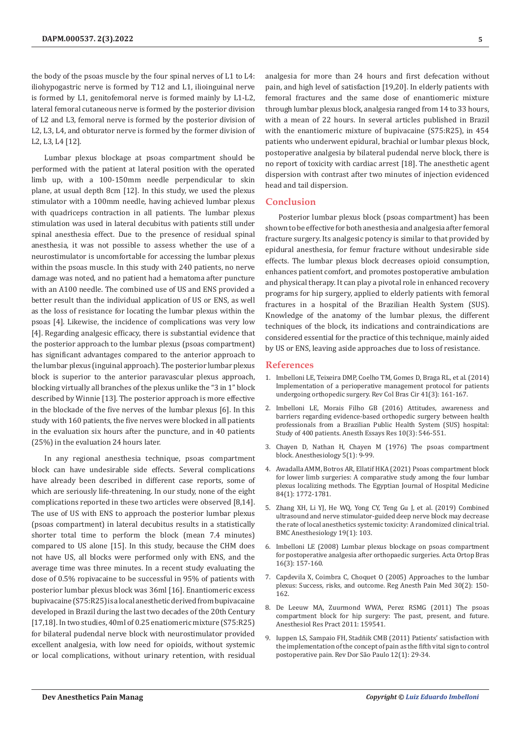the body of the psoas muscle by the four spinal nerves of L1 to L4: iliohypogastric nerve is formed by T12 and L1, ilioinguinal nerve is formed by L1, genitofemoral nerve is formed mainly by L1-L2, lateral femoral cutaneous nerve is formed by the posterior division of L2 and L3, femoral nerve is formed by the posterior division of L2, L3, L4, and obturator nerve is formed by the former division of L2, L3, L4 [12].

Lumbar plexus blockage at psoas compartment should be performed with the patient at lateral position with the operated limb up, with a 100-150mm needle perpendicular to skin plane, at usual depth 8cm [12]. In this study, we used the plexus stimulator with a 100mm needle, having achieved lumbar plexus with quadriceps contraction in all patients. The lumbar plexus stimulation was used in lateral decubitus with patients still under spinal anesthesia effect. Due to the presence of residual spinal anesthesia, it was not possible to assess whether the use of a neurostimulator is uncomfortable for accessing the lumbar plexus within the psoas muscle. In this study with 240 patients, no nerve damage was noted, and no patient had a hematoma after puncture with an A100 needle. The combined use of US and ENS provided a better result than the individual application of US or ENS, as well as the loss of resistance for locating the lumbar plexus within the psoas [4]. Likewise, the incidence of complications was very low [4]. Regarding analgesic efficacy, there is substantial evidence that the posterior approach to the lumbar plexus (psoas compartment) has significant advantages compared to the anterior approach to the lumbar plexus (inguinal approach). The posterior lumbar plexus block is superior to the anterior paravascular plexus approach, blocking virtually all branches of the plexus unlike the "3 in 1" block described by Winnie [13]. The posterior approach is more effective in the blockade of the five nerves of the lumbar plexus [6]. In this study with 160 patients, the five nerves were blocked in all patients in the evaluation six hours after the puncture, and in 40 patients (25%) in the evaluation 24 hours later.

In any regional anesthesia technique, psoas compartment block can have undesirable side effects. Several complications have already been described in different case reports, some of which are seriously life-threatening. In our study, none of the eight complications reported in these two articles were observed [8,14]. The use of US with ENS to approach the posterior lumbar plexus (psoas compartment) in lateral decubitus results in a statistically shorter total time to perform the block (mean 7.4 minutes) compared to US alone [15]. In this study, because the CHM does not have US, all blocks were performed only with ENS, and the average time was three minutes. In a recent study evaluating the dose of 0.5% ropivacaine to be successful in 95% of patients with posterior lumbar plexus block was 36ml [16]. Enantiomeric excess bupivacaine (S75:R25) is a local anesthetic derived from bupivacaine developed in Brazil during the last two decades of the 20th Century [17,18]. In two studies, 40ml of 0.25 enatiomeric mixture (S75:R25) for bilateral pudendal nerve block with neurostimulator provided excellent analgesia, with low need for opioids, without systemic or local complications, without urinary retention, with residual analgesia for more than 24 hours and first defecation without pain, and high level of satisfaction [19,20]. In elderly patients with femoral fractures and the same dose of enantiomeric mixture through lumbar plexus block, analgesia ranged from 14 to 33 hours, with a mean of 22 hours. In several articles published in Brazil with the enantiomeric mixture of bupivacaine (S75:R25), in 454 patients who underwent epidural, brachial or lumbar plexus block, postoperative analgesia by bilateral pudendal nerve block, there is no report of toxicity with cardiac arrest [18]. The anesthetic agent dispersion with contrast after two minutes of injection evidenced head and tail dispersion.

# **Conclusion**

Posterior lumbar plexus block (psoas compartment) has been shown to be effective for both anesthesia and analgesia after femoral fracture surgery. Its analgesic potency is similar to that provided by epidural anesthesia, for femur fracture without undesirable side effects. The lumbar plexus block decreases opioid consumption, enhances patient comfort, and promotes postoperative ambulation and physical therapy. It can play a pivotal role in enhanced recovery programs for hip surgery, applied to elderly patients with femoral fractures in a hospital of the Brazilian Health System (SUS). Knowledge of the anatomy of the lumbar plexus, the different techniques of the block, its indications and contraindications are considered essential for the practice of this technique, mainly aided by US or ENS, leaving aside approaches due to loss of resistance.

#### **References**

- 1. [Imbelloni LE, Teixeira DMP, Coelho TM, Gomes D, Braga RL, et al. \(2014\)](https://pubmed.ncbi.nlm.nih.gov/25140646/) [Implementation of a perioperative management protocol for patients](https://pubmed.ncbi.nlm.nih.gov/25140646/) [undergoing orthopedic surgery. Rev Col Bras Cir 41\(3\): 161-167.](https://pubmed.ncbi.nlm.nih.gov/25140646/)
- 2. [Imbelloni LE, Morais Filho GB \(2016\) Attitudes, awareness and](https://pubmed.ncbi.nlm.nih.gov/27746549/) [barriers regarding evidence-based orthopedic surgery between health](https://pubmed.ncbi.nlm.nih.gov/27746549/) [professionals from a Brazilian Public Health System \(SUS\) hospital:](https://pubmed.ncbi.nlm.nih.gov/27746549/) [Study of 400 patients. Anesth Essays Res 10\(3\): 546-551.](https://pubmed.ncbi.nlm.nih.gov/27746549/)
- 3. [Chayen D, Nathan H, Chayen M \(1976\) The psoas compartment](https://pubmed.ncbi.nlm.nih.gov/937760/) block. [Anesthesiology 5\(1\): 9-99.](https://pubmed.ncbi.nlm.nih.gov/937760/)
- 4. [Awadalla AMM, Botros AR, Ellatif HKA \(2021\) Psoas compartment block](https://ejhm.journals.ekb.eg/article_176587.html) [for lower limb surgeries: A comparative study among the four lumbar](https://ejhm.journals.ekb.eg/article_176587.html) [plexus localizing methods. The Egyptian Journal of Hospital Medicine](https://ejhm.journals.ekb.eg/article_176587.html) [84\(1\): 1772-1781.](https://ejhm.journals.ekb.eg/article_176587.html)
- 5. [Zhang XH, Li YJ, He WQ, Yong CY, Teng Gu J, et al. \(2019\) Combined](https://pubmed.ncbi.nlm.nih.gov/31185905/) [ultrasound and nerve stimulator-guided deep nerve block may decrease](https://pubmed.ncbi.nlm.nih.gov/31185905/) [the rate of local anesthetics systemic toxicity: A randomized clinical trial.](https://pubmed.ncbi.nlm.nih.gov/31185905/) [BMC Anesthesiology 19\(1\): 103.](https://pubmed.ncbi.nlm.nih.gov/31185905/)
- 6. [Imbelloni LE \(2008\) Lumbar plexus blockage on psoas compartment](https://www.scielo.br/j/aob/a/xRXsJxTPYKT35MsgmjZd6ZQ/?format=pdf&lang=en) [for postoperative analgesia after orthopaedic surgeries. Acta Ortop Bras](https://www.scielo.br/j/aob/a/xRXsJxTPYKT35MsgmjZd6ZQ/?format=pdf&lang=en) [16\(3\): 157-160.](https://www.scielo.br/j/aob/a/xRXsJxTPYKT35MsgmjZd6ZQ/?format=pdf&lang=en)
- 7. [Capdevila X, Coimbra C, Choquet O \(2005\) Approaches to the lumbar](https://pubmed.ncbi.nlm.nih.gov/15765458/) [plexus: Success, risks, and outcome.](https://pubmed.ncbi.nlm.nih.gov/15765458/) Reg Anesth Pain Med 30(2): 150- [162.](https://pubmed.ncbi.nlm.nih.gov/15765458/)
- 8. [De Leeuw MA, Zuurmond WWA, Perez RSMG \(2011\) The psoas](https://pubmed.ncbi.nlm.nih.gov/21716721/) [compartment block for hip surgery: The past, present, and future.](https://pubmed.ncbi.nlm.nih.gov/21716721/) [Anesthesiol Res Pract 2011: 159541.](https://pubmed.ncbi.nlm.nih.gov/21716721/)
- 9. [Iuppen LS, Sampaio FH, Stadñik CMB \(2011\) Patients' satisfaction with](https://www.scielo.br/j/rdor/a/VCqZDj7RyXvRGsV3X9fjZfD/) [the implementation of the concept of pain as the fifth vital sign to control](https://www.scielo.br/j/rdor/a/VCqZDj7RyXvRGsV3X9fjZfD/) [postoperative pain. Rev Dor São Paulo 12\(1\): 29-34.](https://www.scielo.br/j/rdor/a/VCqZDj7RyXvRGsV3X9fjZfD/)